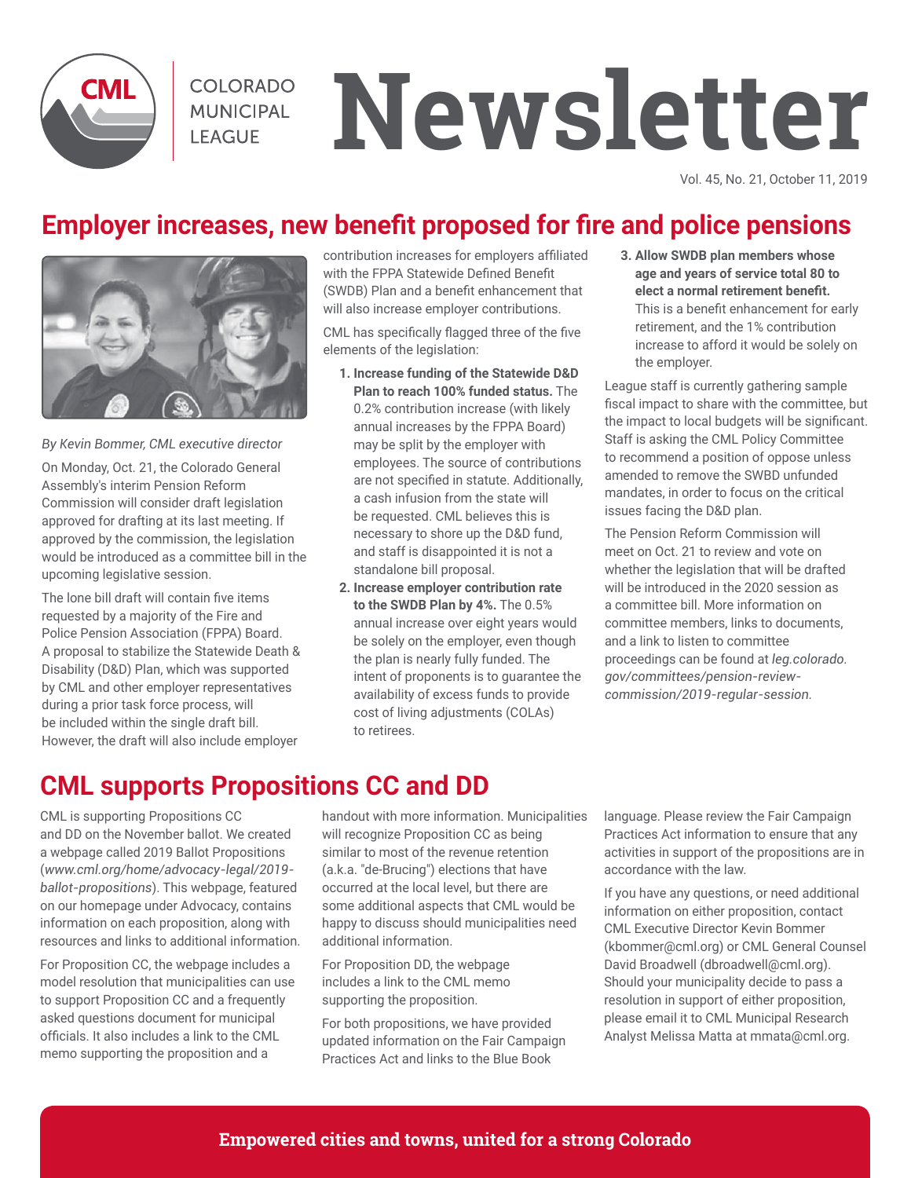

**COLORADO MUNICIPAL LEAGUE** 

# **Newsletter**

Vol. 45, No. 21, October 11, 2019

## **Employer increases, new benefit proposed for fire and police pensions**



*By Kevin Bommer, CML executive director* On Monday, Oct. 21, the Colorado General Assembly's interim Pension Reform Commission will consider draft legislation approved for drafting at its last meeting. If approved by the commission, the legislation would be introduced as a committee bill in the upcoming legislative session.

The lone bill draft will contain five items requested by a majority of the Fire and Police Pension Association (FPPA) Board. A proposal to stabilize the Statewide Death & Disability (D&D) Plan, which was supported by CML and other employer representatives during a prior task force process, will be included within the single draft bill. However, the draft will also include employer

contribution increases for employers affiliated with the FPPA Statewide Defined Benefit (SWDB) Plan and a benefit enhancement that will also increase employer contributions.

CML has specifically flagged three of the five elements of the legislation:

- **1. Increase funding of the Statewide D&D Plan to reach 100% funded status.** The 0.2% contribution increase (with likely annual increases by the FPPA Board) may be split by the employer with employees. The source of contributions are not specified in statute. Additionally, a cash infusion from the state will be requested. CML believes this is necessary to shore up the D&D fund, and staff is disappointed it is not a standalone bill proposal.
- **2. Increase employer contribution rate to the SWDB Plan by 4%.** The 0.5% annual increase over eight years would be solely on the employer, even though the plan is nearly fully funded. The intent of proponents is to guarantee the availability of excess funds to provide cost of living adjustments (COLAs) to retirees.

**3. Allow SWDB plan members whose age and years of service total 80 to elect a normal retirement benefit.** This is a benefit enhancement for early retirement, and the 1% contribution increase to afford it would be solely on the employer.

League staff is currently gathering sample fiscal impact to share with the committee, but the impact to local budgets will be significant. Staff is asking the CML Policy Committee to recommend a position of oppose unless amended to remove the SWBD unfunded mandates, in order to focus on the critical issues facing the D&D plan.

The Pension Reform Commission will meet on Oct. 21 to review and vote on whether the legislation that will be drafted will be introduced in the 2020 session as a committee bill. More information on committee members, links to documents, and a link to listen to committee proceedings can be found at *leg.colorado. gov/committees/pension-reviewcommission/2019-regular-session.*

## **CML supports Propositions CC and DD**

CML is supporting Propositions CC and DD on the November ballot. We created a webpage called 2019 Ballot Propositions (*www.cml.org/home/advocacy-legal/2019 ballot-propositions*). This webpage, featured on our homepage under Advocacy, contains information on each proposition, along with resources and links to additional information.

For Proposition CC, the webpage includes a model resolution that municipalities can use to support Proposition CC and a frequently asked questions document for municipal officials. It also includes a link to the CML memo supporting the proposition and a

handout with more information. Municipalities will recognize Proposition CC as being similar to most of the revenue retention (a.k.a. "de-Brucing") elections that have occurred at the local level, but there are some additional aspects that CML would be happy to discuss should municipalities need additional information.

For Proposition DD, the webpage includes a link to the CML memo supporting the proposition.

For both propositions, we have provided updated information on the Fair Campaign Practices Act and links to the Blue Book

language. Please review the Fair Campaign Practices Act information to ensure that any activities in support of the propositions are in accordance with the law.

If you have any questions, or need additional information on either proposition, contact CML Executive Director Kevin Bommer (kbommer@cml.org) or CML General Counsel David Broadwell (dbroadwell@cml.org). Should your municipality decide to pass a resolution in support of either proposition, please email it to CML Municipal Research Analyst Melissa Matta at mmata@cml.org.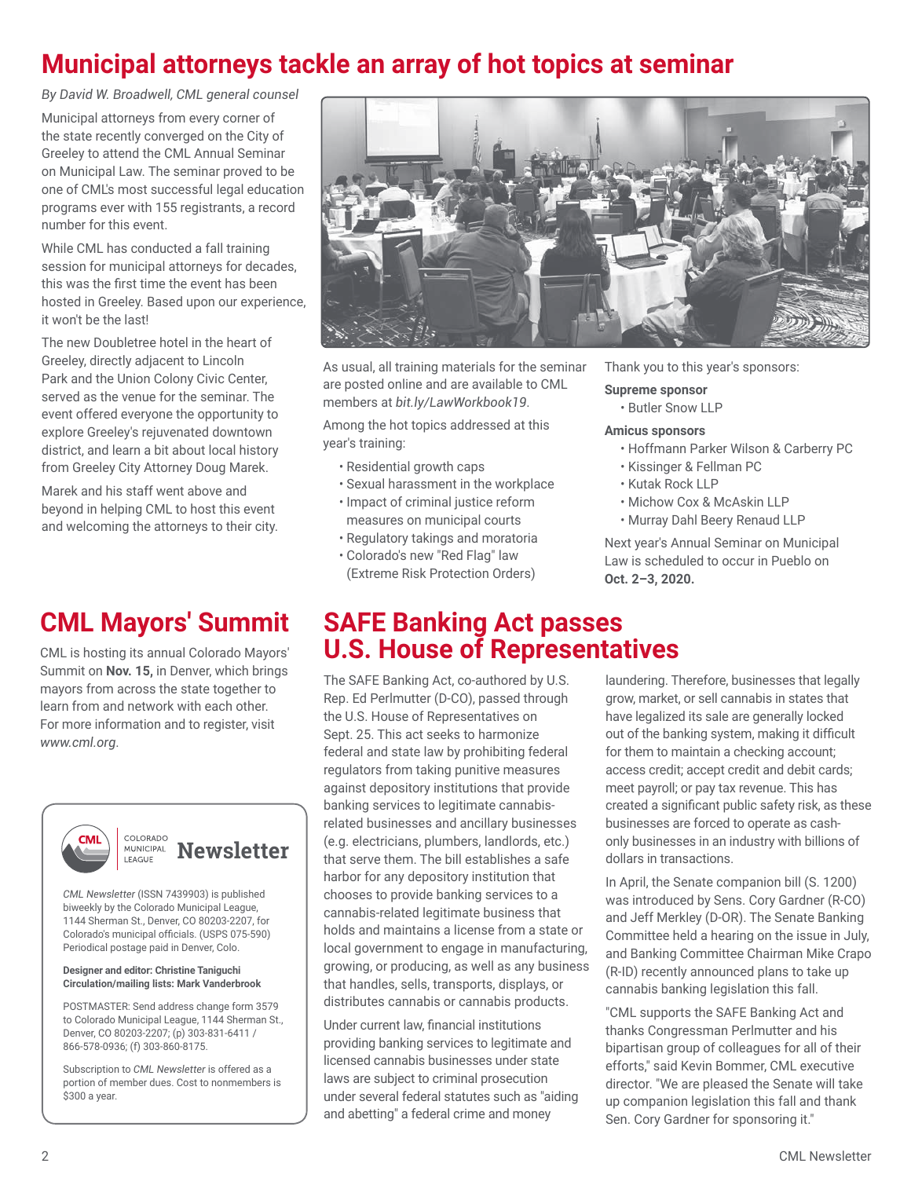## **Municipal attorneys tackle an array of hot topics at seminar**

*By David W. Broadwell, CML general counsel*

Municipal attorneys from every corner of the state recently converged on the City of Greeley to attend the CML Annual Seminar on Municipal Law. The seminar proved to be one of CML's most successful legal education programs ever with 155 registrants, a record number for this event.

While CML has conducted a fall training session for municipal attorneys for decades, this was the first time the event has been hosted in Greeley. Based upon our experience, it won't be the last!

The new Doubletree hotel in the heart of Greeley, directly adjacent to Lincoln Park and the Union Colony Civic Center, served as the venue for the seminar. The event offered everyone the opportunity to explore Greeley's rejuvenated downtown district, and learn a bit about local history from Greeley City Attorney Doug Marek.

Marek and his staff went above and beyond in helping CML to host this event and welcoming the attorneys to their city.

## **CML Mayors' Summit**

CML is hosting its annual Colorado Mayors' Summit on **Nov. 15,** in Denver, which brings mayors from across the state together to learn from and network with each other. For more information and to register, visit *www.cml.org*.



*CML Newsletter* (ISSN 7439903) is published biweekly by the Colorado Municipal League, 1144 Sherman St., Denver, CO 80203-2207, for Colorado's municipal officials. (USPS 075-590) Periodical postage paid in Denver, Colo.

#### **Designer and editor: Christine Taniguchi Circulation/mailing lists: Mark Vanderbrook**

POSTMASTER: Send address change form 3579 to Colorado Municipal League, 1144 Sherman St., Denver, CO 80203-2207; (p) 303-831-6411 / 866-578-0936; (f) 303-860-8175.

Subscription to *CML Newsletter* is offered as a portion of member dues. Cost to nonmembers is \$300 a year.



As usual, all training materials for the seminar are posted online and are available to CML members at *bit.ly/LawWorkbook19*.

Among the hot topics addressed at this year's training:

- Residential growth caps
- Sexual harassment in the workplace
- Impact of criminal justice reform measures on municipal courts
- Regulatory takings and moratoria • Colorado's new "Red Flag" law
- (Extreme Risk Protection Orders)

Thank you to this year's sponsors:

**Supreme sponsor** • Butler Snow LLP

#### **Amicus sponsors**

- Hoffmann Parker Wilson & Carberry PC
- Kissinger & Fellman PC
- Kutak Rock LLP
- Michow Cox & McAskin LLP
- Murray Dahl Beery Renaud LLP

Next year's Annual Seminar on Municipal Law is scheduled to occur in Pueblo on **Oct. 2–3, 2020.** 

## **SAFE Banking Act passes U.S. House of Representatives**

The SAFE Banking Act, co-authored by U.S. Rep. Ed Perlmutter (D-CO), passed through the U.S. House of Representatives on Sept. 25. This act seeks to harmonize federal and state law by prohibiting federal regulators from taking punitive measures against depository institutions that provide banking services to legitimate cannabisrelated businesses and ancillary businesses (e.g. electricians, plumbers, landlords, etc.) that serve them. The bill establishes a safe harbor for any depository institution that chooses to provide banking services to a cannabis-related legitimate business that holds and maintains a license from a state or local government to engage in manufacturing, growing, or producing, as well as any business that handles, sells, transports, displays, or distributes cannabis or cannabis products.

Under current law, financial institutions providing banking services to legitimate and licensed cannabis businesses under state laws are subject to criminal prosecution under several federal statutes such as "aiding and abetting" a federal crime and money

laundering. Therefore, businesses that legally grow, market, or sell cannabis in states that have legalized its sale are generally locked out of the banking system, making it difficult for them to maintain a checking account; access credit; accept credit and debit cards; meet payroll; or pay tax revenue. This has created a significant public safety risk, as these businesses are forced to operate as cashonly businesses in an industry with billions of dollars in transactions.

In April, the Senate companion bill (S. 1200) was introduced by Sens. Cory Gardner (R-CO) and Jeff Merkley (D-OR). The Senate Banking Committee held a hearing on the issue in July, and Banking Committee Chairman Mike Crapo (R-ID) recently announced plans to take up cannabis banking legislation this fall.

"CML supports the SAFE Banking Act and thanks Congressman Perlmutter and his bipartisan group of colleagues for all of their efforts," said Kevin Bommer, CML executive director. "We are pleased the Senate will take up companion legislation this fall and thank Sen. Cory Gardner for sponsoring it."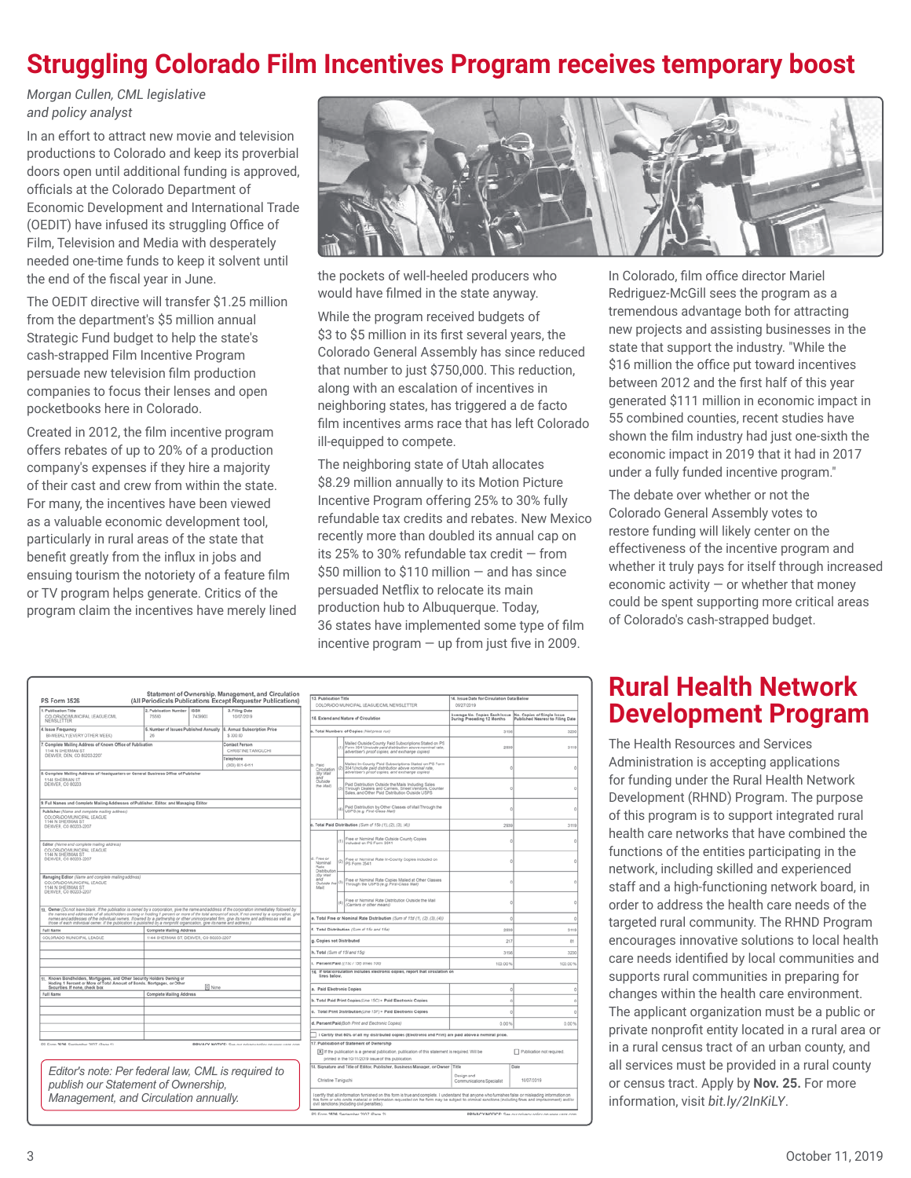## **Struggling Colorado Film Incentives Program receives temporary boost**

*Morgan Cullen, CML legislative and policy analyst*

In an effort to attract new movie and television productions to Colorado and keep its proverbial doors open until additional funding is approved, officials at the Colorado Department of Economic Development and International Trade (OEDIT) have infused its struggling Office of Film, Television and Media with desperately needed one-time funds to keep it solvent until the end of the fiscal year in June.

The OEDIT directive will transfer \$1.25 million from the department's \$5 million annual Strategic Fund budget to help the state's cash-strapped Film Incentive Program persuade new television film production companies to focus their lenses and open pocketbooks here in Colorado.

Created in 2012, the film incentive program offers rebates of up to 20% of a production company's expenses if they hire a majority of their cast and crew from within the state. For many, the incentives have been viewed as a valuable economic development tool, particularly in rural areas of the state that benefit greatly from the influx in jobs and ensuing tourism the notoriety of a feature film or TV program helps generate. Critics of the program claim the incentives have merely lined



the pockets of well-heeled producers who would have filmed in the state anyway.

While the program received budgets of \$3 to \$5 million in its first several years, the Colorado General Assembly has since reduced that number to just \$750,000. This reduction, along with an escalation of incentives in neighboring states, has triggered a de facto film incentives arms race that has left Colorado ill-equipped to compete.

The neighboring state of Utah allocates \$8.29 million annually to its Motion Picture Incentive Program offering 25% to 30% fully refundable tax credits and rebates. New Mexico recently more than doubled its annual cap on its 25% to 30% refundable tax credit — from \$50 million to \$110 million — and has since persuaded Netflix to relocate its main production hub to Albuquerque. Today, 36 states have implemented some type of film incentive program  $-$  up from just five in 2009.

| <b>PS Form 3526</b>                                                                                                                                                                                                                                                                                                                                                                                                         |                                              | Statement of Ownership, Management, and Circulation<br>(All Periodicals Publications Except Requester Publications) |                                                                                                        | 13. Publication Title<br>14. Issue Date for Circulation Data Below<br>COLORADO MUNICIPAL LEAGUEICM, NEWSLETTER<br>09/27/2019 |                                                                                                                                                                                                                                                                                                            |                                                                                                                                                                                                          |                                                                                                                         |                                         |                           |  |
|-----------------------------------------------------------------------------------------------------------------------------------------------------------------------------------------------------------------------------------------------------------------------------------------------------------------------------------------------------------------------------------------------------------------------------|----------------------------------------------|---------------------------------------------------------------------------------------------------------------------|--------------------------------------------------------------------------------------------------------|------------------------------------------------------------------------------------------------------------------------------|------------------------------------------------------------------------------------------------------------------------------------------------------------------------------------------------------------------------------------------------------------------------------------------------------------|----------------------------------------------------------------------------------------------------------------------------------------------------------------------------------------------------------|-------------------------------------------------------------------------------------------------------------------------|-----------------------------------------|---------------------------|--|
| . Publication Title<br>COLORADO MUNICIPAL LEAGUEICML<br>NEWSLETTER                                                                                                                                                                                                                                                                                                                                                          | 2. Publication Number<br>75500               | <b>ISSN</b><br>7439903                                                                                              | 3. Filing Date<br>10/07/2019                                                                           | 15. Extend and Nature of Circulation                                                                                         |                                                                                                                                                                                                                                                                                                            |                                                                                                                                                                                                          | Average No. Copies Each Issue No. Copies of Single Issue<br>During Preceding 12 Months Published Nearest to Filing Date |                                         |                           |  |
| L Issue Frequency<br>BI-WEEKLY (EVERY OTHER WEEK)                                                                                                                                                                                                                                                                                                                                                                           | 5. Number of Issues Published Annually<br>26 |                                                                                                                     | 6. Annual Subscription Price<br>\$300.00                                                               |                                                                                                                              | . Total Numbers of Copies (Net press run)                                                                                                                                                                                                                                                                  |                                                                                                                                                                                                          |                                                                                                                         | 3156                                    | 3200                      |  |
| 7. Complete Mailing Address of Known Office of Publication<br>Contact Person<br><b>1144 N SHEBMAN ST</b><br>CHRISTINE TANIOUCHI<br>DENVER, DEN, CO 80203-2207                                                                                                                                                                                                                                                               |                                              |                                                                                                                     |                                                                                                        |                                                                                                                              |                                                                                                                                                                                                                                                                                                            | Mailed Outside County Paid Subscriptions Stated on PS<br>Form 3541 (include paid distribution above nominal rate,<br>advertiser's proof copies, and exchange copies)                                     |                                                                                                                         | 2936                                    | 3119                      |  |
| Telephone<br>(303) 831-6411<br>I. Complete Mailing Address of Headquarters or General Business Office of Publisher                                                                                                                                                                                                                                                                                                          |                                              |                                                                                                                     |                                                                                                        | Paid<br>Circulation<br>(By Mail<br>and                                                                                       |                                                                                                                                                                                                                                                                                                            | Mailed In-County Paid Subscriptions Stated on PS Form<br>3541 (include paid distribution above nominal rate,<br>advertiser's proof copies, and exchange copies)                                          |                                                                                                                         |                                         |                           |  |
| 1144 SHERMAN ST<br>DEMVER, CO 80203                                                                                                                                                                                                                                                                                                                                                                                         |                                              |                                                                                                                     |                                                                                                        |                                                                                                                              |                                                                                                                                                                                                                                                                                                            | aid Distribution Outside the Mails Including Sales<br>5) Through Dealers and Carriers, Street Vendors, Counter<br>Sales, and Other Paid Distribution Outside USPS                                        |                                                                                                                         |                                         |                           |  |
| I. Full Names and Complete Mailing Addresses of Publisher, Editor, and Managing Editor                                                                                                                                                                                                                                                                                                                                      |                                              |                                                                                                                     |                                                                                                        |                                                                                                                              |                                                                                                                                                                                                                                                                                                            | Paid Distribution by Other Classes of Mail Through the                                                                                                                                                   |                                                                                                                         |                                         |                           |  |
| Publisher (Name and complete mailing address)<br>COLORADO MUNICIPAL LEAGUE<br>1144 N SHERMAN ST<br>DENVER, CO 80203-2207                                                                                                                                                                                                                                                                                                    |                                              |                                                                                                                     |                                                                                                        |                                                                                                                              |                                                                                                                                                                                                                                                                                                            | JSPS (e.g. First-Class Mail)<br>Total Paid Distribution (Sum of 15b (1), (2), (3), (4))                                                                                                                  |                                                                                                                         | 2930                                    | 3119                      |  |
| Editor (Name and complete mailing address)                                                                                                                                                                                                                                                                                                                                                                                  |                                              |                                                                                                                     |                                                                                                        |                                                                                                                              |                                                                                                                                                                                                                                                                                                            | ree or Nominal Rate Outside County Copies<br>included on PS Form 3541                                                                                                                                    |                                                                                                                         |                                         |                           |  |
| COLORADO MUNICIPAL LEAGUE<br>1144 N SHERMAN ST<br>DENVER, CO 80203-2207                                                                                                                                                                                                                                                                                                                                                     |                                              |                                                                                                                     |                                                                                                        | Free or<br>Nominal<br>Rate<br>Distribution                                                                                   |                                                                                                                                                                                                                                                                                                            | 2) Free or Nominal Rate In-County Copies included on                                                                                                                                                     |                                                                                                                         |                                         |                           |  |
| Managing Editor (Name and complete mailing address)<br>COLORADO MUNICIPAL LEAGUE<br>1144 N SHERMAN ST<br>DENVER, CO 80203-2207                                                                                                                                                                                                                                                                                              |                                              |                                                                                                                     |                                                                                                        |                                                                                                                              | Outside the (3)                                                                                                                                                                                                                                                                                            | ree or Nominal Rate Copies Malled at Other Classes<br>Through the USPS (e.g. First-Class Mail)                                                                                                           |                                                                                                                         |                                         |                           |  |
| (6). Owner (Do not leave blank. If the publication is owned by a corporation, give the name and address of the corporation immediately followed by                                                                                                                                                                                                                                                                          |                                              |                                                                                                                     |                                                                                                        |                                                                                                                              |                                                                                                                                                                                                                                                                                                            | Free or Nominal Rate Distribution Outside the Mail<br>Carriers or other means)                                                                                                                           |                                                                                                                         |                                         |                           |  |
| the names and addresses of all stockholders owning or holding 1 percent or more of the total amount of stock. If not owned by a corporation, give<br>names and addresses of the individual owners. If owned by a partnership or other unincorporated firm, give its name and address as well as<br>those of each individual owner. If the publication is published by a nonprofit organization, give its name and address.) |                                              |                                                                                                                     |                                                                                                        |                                                                                                                              | e. Total Free or Nominal Rate Distribution (Sum of 15d (1), (2), (3), (4))                                                                                                                                                                                                                                 |                                                                                                                                                                                                          |                                                                                                                         |                                         |                           |  |
| Complete Mailing Address<br>Full Name                                                                                                                                                                                                                                                                                                                                                                                       |                                              |                                                                                                                     |                                                                                                        |                                                                                                                              |                                                                                                                                                                                                                                                                                                            | f. Total Distribution (Sum of 15c and 15e)                                                                                                                                                               | 2936                                                                                                                    | 3119                                    |                           |  |
| COLORADO MUNICIPAL LEAGUE<br>1144 SHERMAN ST. DENVER. CO 80203-2207                                                                                                                                                                                                                                                                                                                                                         |                                              |                                                                                                                     |                                                                                                        | a. Copies not Distributed                                                                                                    |                                                                                                                                                                                                                                                                                                            |                                                                                                                                                                                                          |                                                                                                                         | 217                                     | 81                        |  |
|                                                                                                                                                                                                                                                                                                                                                                                                                             |                                              |                                                                                                                     |                                                                                                        | h. Total (Sum of 15/ and 15g)                                                                                                |                                                                                                                                                                                                                                                                                                            |                                                                                                                                                                                                          |                                                                                                                         | 3150                                    | 3200                      |  |
|                                                                                                                                                                                                                                                                                                                                                                                                                             |                                              | Percent Paid (/15c / 150 times 100)                                                                                 |                                                                                                        |                                                                                                                              | 100.00%                                                                                                                                                                                                                                                                                                    | 100.00 %                                                                                                                                                                                                 |                                                                                                                         |                                         |                           |  |
| Known Bondholders, Mortgagees, and Other Security Holders Owning or<br>11.                                                                                                                                                                                                                                                                                                                                                  |                                              |                                                                                                                     |                                                                                                        | lines below.                                                                                                                 |                                                                                                                                                                                                                                                                                                            | 16. If total circulation includes electronic copies, report that circulation on                                                                                                                          |                                                                                                                         |                                         |                           |  |
| Hoding 1 Percent or More of Total Amount of Bonds. Mortgages, or Other<br>X None<br>Securities. If none, check box                                                                                                                                                                                                                                                                                                          |                                              |                                                                                                                     |                                                                                                        | a. Paid Electronic Copies                                                                                                    |                                                                                                                                                                                                                                                                                                            |                                                                                                                                                                                                          |                                                                                                                         |                                         |                           |  |
| Full Name                                                                                                                                                                                                                                                                                                                                                                                                                   | Complete Mailing Address                     |                                                                                                                     |                                                                                                        |                                                                                                                              |                                                                                                                                                                                                                                                                                                            | b. Total Paid Print Copies/Line 15C) + Paid Electronic Copies                                                                                                                                            |                                                                                                                         |                                         |                           |  |
|                                                                                                                                                                                                                                                                                                                                                                                                                             |                                              |                                                                                                                     |                                                                                                        |                                                                                                                              |                                                                                                                                                                                                                                                                                                            | c. Total Print Distribution Line 15ff) = Paid Electronic Copies                                                                                                                                          |                                                                                                                         |                                         |                           |  |
|                                                                                                                                                                                                                                                                                                                                                                                                                             |                                              |                                                                                                                     |                                                                                                        |                                                                                                                              | d. Percent Paid(Both Print and Electronic Copies)                                                                                                                                                                                                                                                          |                                                                                                                                                                                                          | 0.00.5                                                                                                                  | 0.00%                                   |                           |  |
|                                                                                                                                                                                                                                                                                                                                                                                                                             |                                              |                                                                                                                     | I Certify that 60% of all my distributed copies (Electronic and Print) are paid above a nominal price. |                                                                                                                              |                                                                                                                                                                                                                                                                                                            |                                                                                                                                                                                                          |                                                                                                                         |                                         |                           |  |
| R Form 3526, Sentember 2007 (Page 1)                                                                                                                                                                                                                                                                                                                                                                                        |                                              |                                                                                                                     | PRIVACY NOTICE: See our release notice on www.usos.com                                                 |                                                                                                                              |                                                                                                                                                                                                                                                                                                            | 17. Publication of Statement of Ownership<br>[X] If the publication is a general publication, publication of this statement is required. Will be<br>printed in the 10/11/2019 issue of this publication. |                                                                                                                         |                                         | Publication not required. |  |
|                                                                                                                                                                                                                                                                                                                                                                                                                             |                                              |                                                                                                                     |                                                                                                        |                                                                                                                              |                                                                                                                                                                                                                                                                                                            | 18. Signature and Title of Editor, Publisher, Business Manager, or Owner Title                                                                                                                           |                                                                                                                         |                                         | Date                      |  |
| Editor's note: Per federal law, CML is required to<br>publish our Statement of Ownership,                                                                                                                                                                                                                                                                                                                                   |                                              |                                                                                                                     |                                                                                                        |                                                                                                                              | Christine Taniguchi                                                                                                                                                                                                                                                                                        |                                                                                                                                                                                                          |                                                                                                                         | Design and<br>Communications Specialist | 10/07/2019                |  |
| Management, and Circulation annually.                                                                                                                                                                                                                                                                                                                                                                                       |                                              |                                                                                                                     |                                                                                                        |                                                                                                                              | certify that all information furnished on this form is true and complete. I understand that anyone who furnishes false or misleading information on<br>this form or who omits material or information requested on the form may be subject to criminal sanctions (including fines and imprisonment) and/or |                                                                                                                                                                                                          |                                                                                                                         |                                         |                           |  |

In Colorado, film office director Mariel Redriguez-McGill sees the program as a tremendous advantage both for attracting new projects and assisting businesses in the state that support the industry. "While the \$16 million the office put toward incentives between 2012 and the first half of this year generated \$111 million in economic impact in 55 combined counties, recent studies have shown the film industry had just one-sixth the economic impact in 2019 that it had in 2017 under a fully funded incentive program."

The debate over whether or not the Colorado General Assembly votes to restore funding will likely center on the effectiveness of the incentive program and whether it truly pays for itself through increased economic activity  $-$  or whether that money could be spent supporting more critical areas of Colorado's cash-strapped budget.

## **Rural Health Network Development Program**

The Health Resources and Services Administration is accepting applications for funding under the Rural Health Network Development (RHND) Program. The purpose of this program is to support integrated rural health care networks that have combined the functions of the entities participating in the network, including skilled and experienced staff and a high-functioning network board, in order to address the health care needs of the targeted rural community. The RHND Program encourages innovative solutions to local health care needs identified by local communities and supports rural communities in preparing for changes within the health care environment. The applicant organization must be a public or private nonprofit entity located in a rural area or in a rural census tract of an urban county, and all services must be provided in a rural county or census tract. Apply by **Nov. 25.** For more information, visit *bit.ly/2InKiLY*.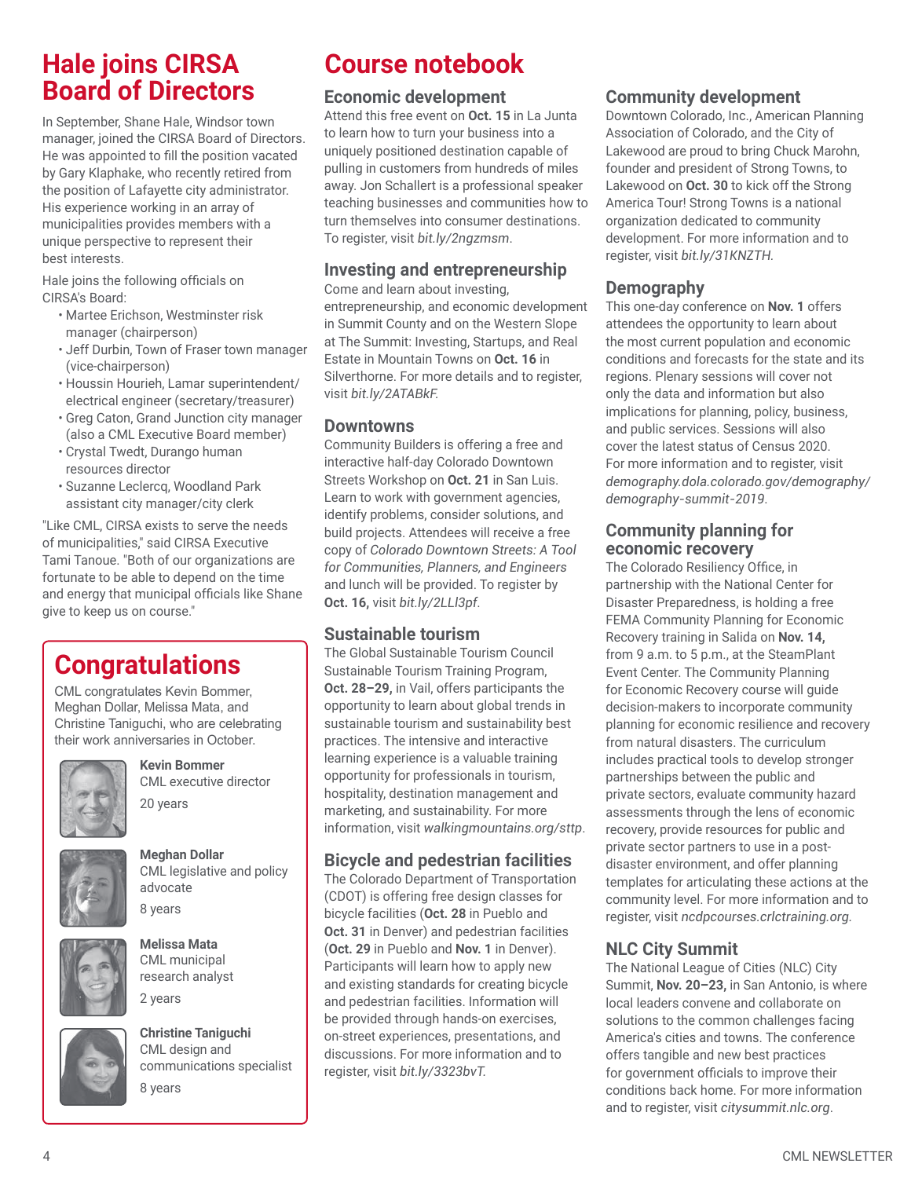## **Hale joins CIRSA Board of Directors**

In September, Shane Hale, Windsor town manager, joined the CIRSA Board of Directors. He was appointed to fill the position vacated by Gary Klaphake, who recently retired from the position of Lafayette city administrator. His experience working in an array of municipalities provides members with a unique perspective to represent their best interests.

Hale joins the following officials on CIRSA's Board:

- Martee Erichson, Westminster risk manager (chairperson)
- Jeff Durbin, Town of Fraser town manager (vice-chairperson)
- Houssin Hourieh, Lamar superintendent/ electrical engineer (secretary/treasurer)
- Greg Caton, Grand Junction city manager (also a CML Executive Board member)
- Crystal Twedt, Durango human resources director
- Suzanne Leclercq, Woodland Park assistant city manager/city clerk

"Like CML, CIRSA exists to serve the needs of municipalities," said CIRSA Executive Tami Tanoue. "Both of our organizations are fortunate to be able to depend on the time and energy that municipal officials like Shane give to keep us on course."

# **Congratulations**

CML congratulates Kevin Bommer, Meghan Dollar, Melissa Mata, and Christine Taniguchi, who are celebrating their work anniversaries in October.



**Kevin Bommer** CML executive director 20 years







**Melissa Mata** CML municipal research analyst 2 years



**Christine Taniguchi** CML design and communications specialist 8 years

# **Course notebook**

#### **Economic development**

Attend this free event on **Oct. 15** in La Junta to learn how to turn your business into a uniquely positioned destination capable of pulling in customers from hundreds of miles away. Jon Schallert is a professional speaker teaching businesses and communities how to turn themselves into consumer destinations. To register, visit *bit.ly/2ngzmsm*.

#### **Investing and entrepreneurship**

Come and learn about investing, entrepreneurship, and economic development in Summit County and on the Western Slope at The Summit: Investing, Startups, and Real Estate in Mountain Towns on **Oct. 16** in Silverthorne. For more details and to register, visit *bit.ly/2ATABkF.*

#### **Downtowns**

Community Builders is offering a free and interactive half-day Colorado Downtown Streets Workshop on **Oct. 21** in San Luis. Learn to work with government agencies, identify problems, consider solutions, and build projects. Attendees will receive a free copy of *Colorado Downtown Streets: A Tool for Communities, Planners, and Engineers*  and lunch will be provided. To register by **Oct. 16,** visit *bit.ly/2LLl3pf*.

### **Sustainable tourism**

The Global Sustainable Tourism Council Sustainable Tourism Training Program, **Oct. 28–29,** in Vail, offers participants the opportunity to learn about global trends in sustainable tourism and sustainability best practices. The intensive and interactive learning experience is a valuable training opportunity for professionals in tourism, hospitality, destination management and marketing, and sustainability. For more information, visit *walkingmountains.org/sttp*.

#### **Bicycle and pedestrian facilities**

The Colorado Department of Transportation (CDOT) is offering free design classes for bicycle facilities (**Oct. 28** in Pueblo and **Oct. 31** in Denver) and pedestrian facilities (**Oct. 29** in Pueblo and **Nov. 1** in Denver). Participants will learn how to apply new and existing standards for creating bicycle and pedestrian facilities. Information will be provided through hands-on exercises, on-street experiences, presentations, and discussions. For more information and to register, visit *bit.ly/3323bvT.*

### **Community development**

Downtown Colorado, Inc., American Planning Association of Colorado, and the City of Lakewood are proud to bring Chuck Marohn, founder and president of Strong Towns, to Lakewood on **Oct. 30** to kick off the Strong America Tour! Strong Towns is a national organization dedicated to community development. For more information and to register, visit *bit.ly/31KNZTH.*

### **Demography**

This one-day conference on **Nov. 1** offers attendees the opportunity to learn about the most current population and economic conditions and forecasts for the state and its regions. Plenary sessions will cover not only the data and information but also implications for planning, policy, business, and public services. Sessions will also cover the latest status of Census 2020. For more information and to register, visit *demography.dola.colorado.gov/demography/ demography-summit-2019*.

#### **Community planning for economic recovery**

The Colorado Resiliency Office, in partnership with the National Center for Disaster Preparedness, is holding a free FEMA Community Planning for Economic Recovery training in Salida on **Nov. 14,** from 9 a.m. to 5 p.m., at the SteamPlant Event Center. The Community Planning for Economic Recovery course will guide decision-makers to incorporate community planning for economic resilience and recovery from natural disasters. The curriculum includes practical tools to develop stronger partnerships between the public and private sectors, evaluate community hazard assessments through the lens of economic recovery, provide resources for public and private sector partners to use in a postdisaster environment, and offer planning templates for articulating these actions at the community level. For more information and to register, visit *ncdpcourses.crlctraining.org.*

## **NLC City Summit**

The National League of Cities (NLC) City Summit, **Nov. 20–23,** in San Antonio, is where local leaders convene and collaborate on solutions to the common challenges facing America's cities and towns. The conference offers tangible and new best practices for government officials to improve their conditions back home. For more information and to register, visit *citysummit.nlc.org*.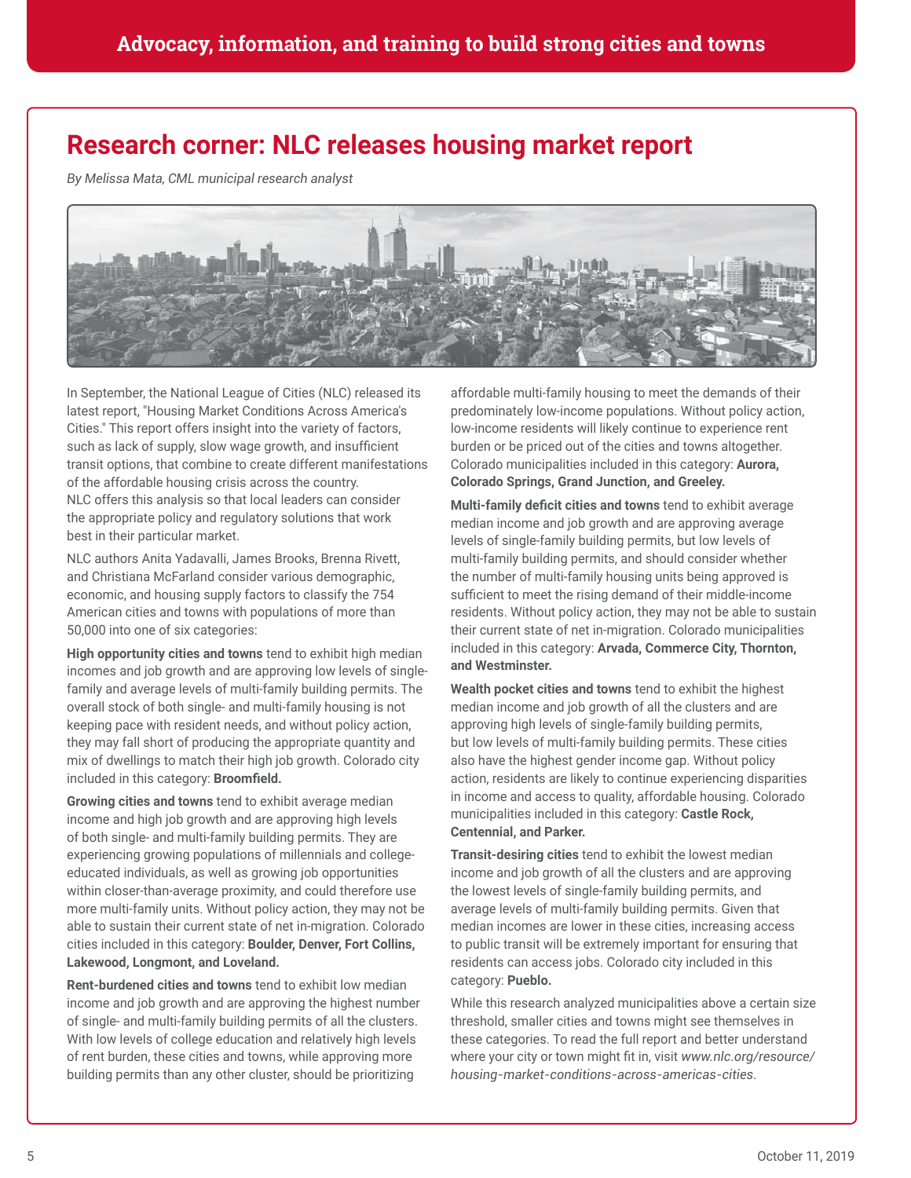## **Research corner: NLC releases housing market report**

*By Melissa Mata, CML municipal research analyst*



In September, the National League of Cities (NLC) released its latest report, "Housing Market Conditions Across America's Cities." This report offers insight into the variety of factors, such as lack of supply, slow wage growth, and insufficient transit options, that combine to create different manifestations of the affordable housing crisis across the country. NLC offers this analysis so that local leaders can consider the appropriate policy and regulatory solutions that work best in their particular market.

NLC authors Anita Yadavalli, James Brooks, Brenna Rivett, and Christiana McFarland consider various demographic, economic, and housing supply factors to classify the 754 American cities and towns with populations of more than 50,000 into one of six categories:

**High opportunity cities and towns** tend to exhibit high median incomes and job growth and are approving low levels of singlefamily and average levels of multi-family building permits. The overall stock of both single- and multi-family housing is not keeping pace with resident needs, and without policy action, they may fall short of producing the appropriate quantity and mix of dwellings to match their high job growth. Colorado city included in this category: **Broomfield.**

**Growing cities and towns** tend to exhibit average median income and high job growth and are approving high levels of both single- and multi-family building permits. They are experiencing growing populations of millennials and collegeeducated individuals, as well as growing job opportunities within closer-than-average proximity, and could therefore use more multi-family units. Without policy action, they may not be able to sustain their current state of net in-migration. Colorado cities included in this category: **Boulder, Denver, Fort Collins, Lakewood, Longmont, and Loveland.**

**Rent-burdened cities and towns** tend to exhibit low median income and job growth and are approving the highest number of single- and multi-family building permits of all the clusters. With low levels of college education and relatively high levels of rent burden, these cities and towns, while approving more building permits than any other cluster, should be prioritizing

affordable multi-family housing to meet the demands of their predominately low-income populations. Without policy action, low-income residents will likely continue to experience rent burden or be priced out of the cities and towns altogether. Colorado municipalities included in this category: **Aurora, Colorado Springs, Grand Junction, and Greeley.**

**Multi-family deficit cities and towns** tend to exhibit average median income and job growth and are approving average levels of single-family building permits, but low levels of multi-family building permits, and should consider whether the number of multi-family housing units being approved is sufficient to meet the rising demand of their middle-income residents. Without policy action, they may not be able to sustain their current state of net in-migration. Colorado municipalities included in this category: **Arvada, Commerce City, Thornton, and Westminster.**

**Wealth pocket cities and towns** tend to exhibit the highest median income and job growth of all the clusters and are approving high levels of single-family building permits, but low levels of multi-family building permits. These cities also have the highest gender income gap. Without policy action, residents are likely to continue experiencing disparities in income and access to quality, affordable housing. Colorado municipalities included in this category: **Castle Rock, Centennial, and Parker.**

**Transit-desiring cities** tend to exhibit the lowest median income and job growth of all the clusters and are approving the lowest levels of single-family building permits, and average levels of multi-family building permits. Given that median incomes are lower in these cities, increasing access to public transit will be extremely important for ensuring that residents can access jobs. Colorado city included in this category: **Pueblo.**

While this research analyzed municipalities above a certain size threshold, smaller cities and towns might see themselves in these categories. To read the full report and better understand where your city or town might fit in, visit *www.nlc.org/resource/ housing-market-conditions-across-americas-cities*.